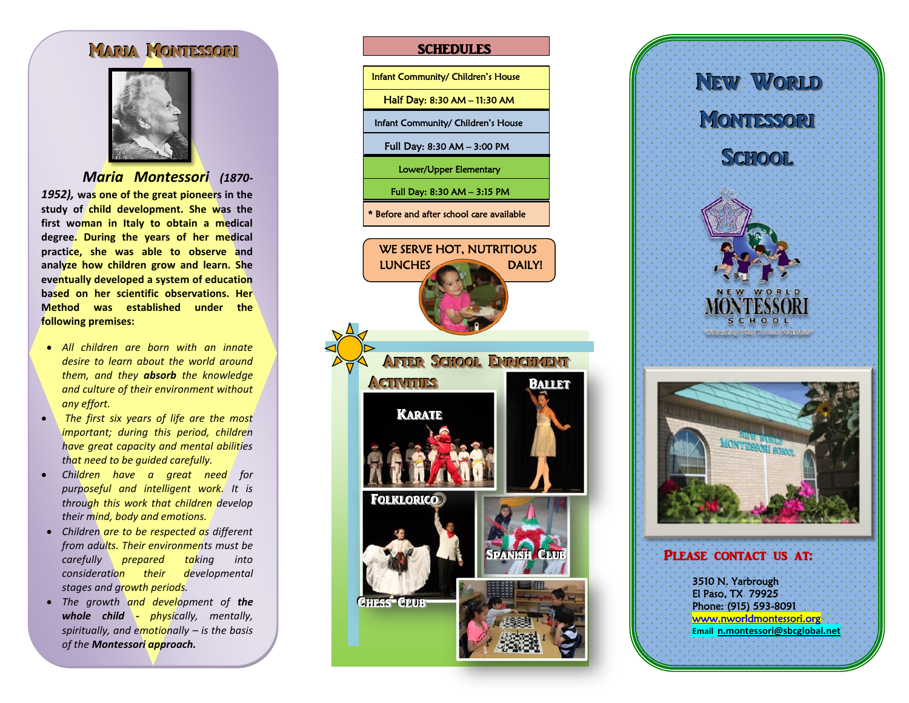# Maria Montessori



*Maria Montessori (1870- 1952),* **was one of the great pioneers in the study of child development. She was the first woman in Italy to obtain a medical degree. During the years of her medical practice, she was able to observe and analyze how children grow and learn. She eventually developed a system of education based on her scientific observations. Her Method was established under the following premises:**

- *All children are born with an innate desire to learn about the world around them, and they absorb the knowledge and culture of their environment without any effort.*
- *The first six years of life are the most important; during this period, children have great capacity and mental abilities that need to be guided carefully.*
- *Children have a great need for purposeful and intelligent work. It is through this work that children develop their mind, body and emotions.*
- *Children are to be respected as different from adults. Their environments must be carefully prepared taking into consideration their developmental stages and growth periods.*
- *The growth and development of the whole child - physically, mentally, spiritually, and emotionally – is the basis of the Montessori approach.*

### **SCHEDULES**